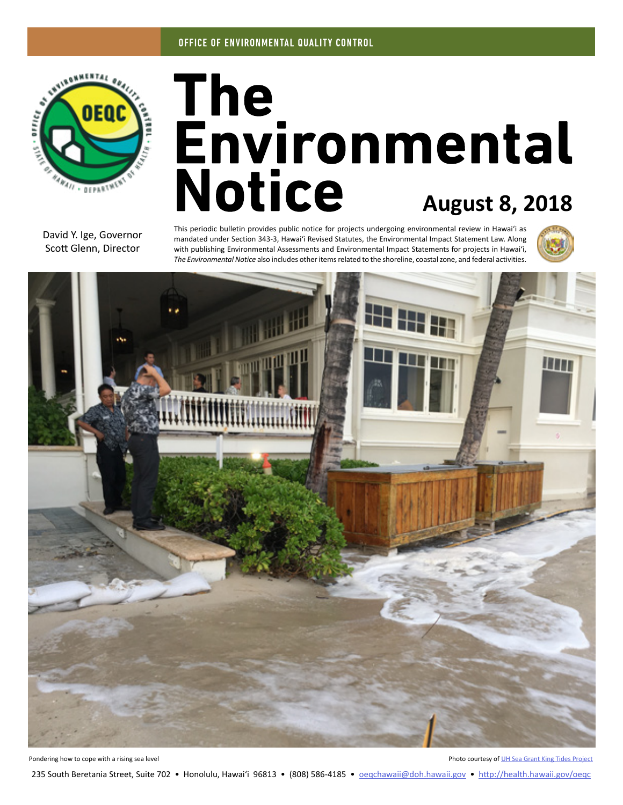

# The<br>Environmental **Notice August 8, 2018**

David Y. Ige, Governor Scott Glenn, Director

This periodic bulletin provides public notice for projects undergoing environmental review in Hawaiʻi as mandated under Section 343-3, Hawaiʻi Revised Statutes, the Environmental Impact Statement Law. Along with publishing Environmental Assessments and Environmental Impact Statements for projects in Hawaiʻi, *The Environmental Notice* also includes other items related to the shoreline, coastal zone, and federal activities.





Pondering how to cope with a rising sea level **Photo courtesy of UH** Sea Grant King Tides Project

235 South Beretania Street, Suite 702 • Honolulu, Hawai'i 96813 • (808) 586-4185 • oegchawaii@doh.hawaii.gov • <http://health.hawaii.gov/oeqc>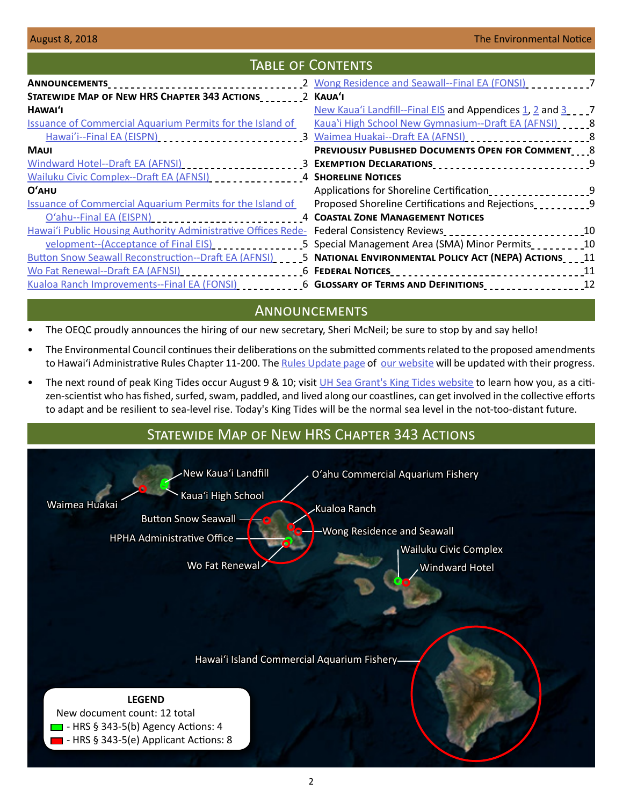## Table of Contents

| STATEWIDE MAP OF NEW HRS CHAPTER 343 ACTIONS 2 KAUA'I                                                                |                                                               |  |
|----------------------------------------------------------------------------------------------------------------------|---------------------------------------------------------------|--|
| HAWAI'I                                                                                                              | New Kaua'i Landfill--Final EIS and Appendices 1, 2 and 3 1, 2 |  |
| <b>Issuance of Commercial Aquarium Permits for the Island of</b>                                                     | Kaua'i High School New Gymnasium--Draft EA (AFNSI) [10] 8     |  |
|                                                                                                                      |                                                               |  |
| <b>MAUI</b>                                                                                                          | PREVIOUSLY PUBLISHED DOCUMENTS OPEN FOR COMMENT 8             |  |
|                                                                                                                      |                                                               |  |
|                                                                                                                      |                                                               |  |
| $O'$ AHU                                                                                                             | Applications for Shoreline Certification                      |  |
| <b>Issuance of Commercial Aquarium Permits for the Island of</b>                                                     | Proposed Shoreline Certifications and Rejections              |  |
|                                                                                                                      | <b>4 COASTAL ZONE MANAGEMENT NOTICES</b>                      |  |
| Hawai'i Public Housing Authority Administrative Offices Rede- Federal Consistency Reviews_________________________10 |                                                               |  |
| velopment--(Acceptance of Final EIS)<br>use also lines and the velopment-                                            | 5 Special Management Area (SMA) Minor Permits<br>10           |  |
| Button Snow Seawall Reconstruction--Draft EA (AFNSI) ____ 5 NATIONAL ENVIRONMENTAL POLICY ACT (NEPA) ACTIONS____11   |                                                               |  |
| Wo Fat Renewal--Draft EA (AFNSI) ________________________6 FEDERAL NOTICES________________________________11         |                                                               |  |
| Kualoa Ranch Improvements--Final EA (FONSI) ____________6 GLOSSARY OF TERMS AND DEFINITIONS _________________12      |                                                               |  |

## **ANNOUNCEMENTS**

- The OEQC proudly announces the hiring of our new secretary, Sheri McNeil; be sure to stop by and say hello!
- The Environmental Council continues their deliberations on the submitted comments related to the proposed amendments to Hawai'i Administrative Rules Chapter 11-200. The [Rules Update page](http://health.hawaii.gov/oeqc/rules-update/) of [our website](http://health.hawaii.gov/oeqc/) will be updated with their progress.
- The next round of peak King Tides occur August 9 & 10; visit [UH Sea Grant's King Tides website](http://seagrant.soest.hawaii.edu/coastal-and-climate-science-and-resilience/ccs-projects/hawaii-pacific-islands-king-tides-project/) to learn how you, as a citizen-scientist who has fished, surfed, swam, paddled, and lived along our coastlines, can get involved in the collective efforts to adapt and be resilient to sea-level rise. Today's King Tides will be the normal sea level in the not-too-distant future.

## **LEGEND** New document count: 12 total  $\blacksquare$  - HRS § 343-5(b) Agency Actions: 4 - HRS § 343-5(e) Applicant Actions: 8 STATEWIDE MAP OF NEW HRS CHAPTER 343 ACTIONS [Waimea Huakai](#page-7-0) [Oʻahu Commercial Aquarium Fishery](#page-3-0) [Kauaʻi High School](#page-7-0) [New Kauaʻi Landfill](#page-6-0) [Button Snow Seawall](#page-4-0) [Hawaiʻi Island Commercial Aquarium Fishery](#page-2-0) [Windward Hotel](#page-2-0) [Wailuku Civic Complex](#page-3-0) [Kualoa Ranch](#page-5-0) [Wong Residence and Seawall](#page-6-0) [Wo Fat Renewal](#page-5-0) [HPHA Administrative Office](#page-4-0)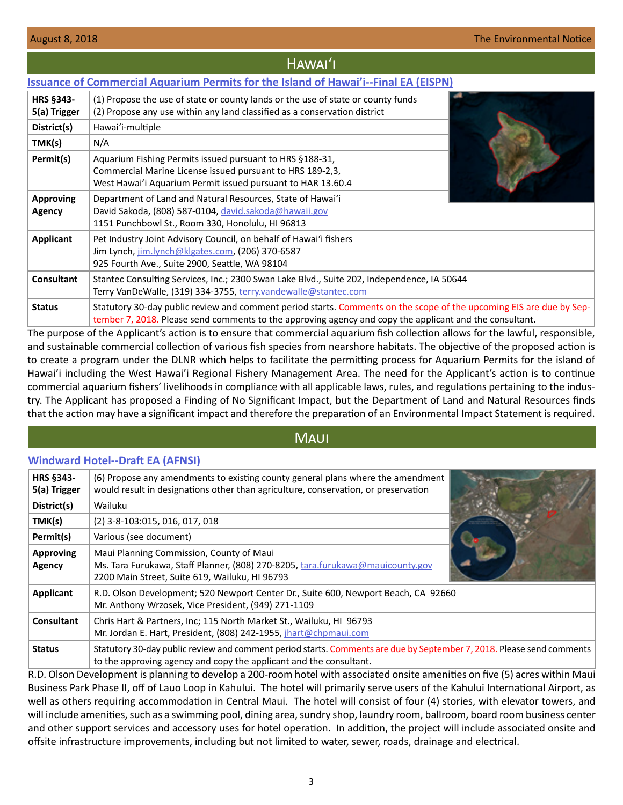#### <span id="page-2-0"></span>Hawaiʻi **[Issuance of Commercial Aquarium Permits for the Island of Hawai'i--Final EA \(EISPN\)](http://oeqc2.doh.hawaii.gov/EA_EIS_Library/2018-08-08-HA-FEA-EISPN-Hawaii-Island-Commercial-Aquarium-Permits.pdf) HRS §343- 5(a) Trigger** (1) Propose the use of state or county lands or the use of state or county funds (2) Propose any use within any land classified as a conservation district **District(s)** Hawaiʻi-multiple **TMK(s)**  $\vert N/A \vert$ **Permit(s)** | Aquarium Fishing Permits issued pursuant to HRS §188-31, Commercial Marine License issued pursuant to HRS 189-2,3, West Hawai'i Aquarium Permit issued pursuant to HAR 13.60.4 **Approving Agency** Department of Land and Natural Resources, State of Hawaiʻi David Sakoda, (808) 587-0104, [david.sakoda@hawaii.gov](mailto:david.sakoda%40hawaii.gov?subject=) 1151 Punchbowl St., Room 330, Honolulu, HI 96813 **Applicant** Pet Industry Joint Advisory Council, on behalf of Hawaiʻi fishers Jim Lynch, jim.lynch@klgates.com, (206) 370-6587 925 Fourth Ave., Suite 2900, Seattle, WA 98104 **Consultant** Stantec Consulting Services, Inc.; 2300 Swan Lake Blvd., Suite 202, Independence, IA 50644 Terry VanDeWalle, (319) 334-3755, [terry.vandewalle@stantec.com](mailto:terry.vandewalle%40stantec.com?subject=) **Status** Statutory 30-day public review and comment period starts. Comments on the scope of the upcoming EIS are due by September 7, 2018. Please send comments to the approving agency and copy the applicant and the consultant.

The purpose of the Applicant's action is to ensure that commercial aquarium fish collection allows for the lawful, responsible, and sustainable commercial collection of various fish species from nearshore habitats. The objective of the proposed action is to create a program under the DLNR which helps to facilitate the permitting process for Aquarium Permits for the island of Hawai'i including the West Hawai'i Regional Fishery Management Area. The need for the Applicant's action is to continue commercial aquarium fishers' livelihoods in compliance with all applicable laws, rules, and regulations pertaining to the industry. The Applicant has proposed a Finding of No Significant Impact, but the Department of Land and Natural Resources finds that the action may have a significant impact and therefore the preparation of an Environmental Impact Statement is required.

## Maui

### **[Windward Hotel--Draft EA \(AFNSI\)](http://oeqc2.doh.hawaii.gov/EA_EIS_Library/2018-08-08-MA-DEA-Windward-Hotel.pdf)**

| <b>HRS §343-</b><br>5(a) Trigger | (6) Propose any amendments to existing county general plans where the amendment<br>would result in designations other than agriculture, conservation, or preservation                       |  |
|----------------------------------|---------------------------------------------------------------------------------------------------------------------------------------------------------------------------------------------|--|
| District(s)                      | Wailuku                                                                                                                                                                                     |  |
| TMK(s)                           | (2) 3-8-103:015, 016, 017, 018                                                                                                                                                              |  |
| Permit(s)                        | Various (see document)                                                                                                                                                                      |  |
| <b>Approving</b><br>Agency       | Maui Planning Commission, County of Maui<br>Ms. Tara Furukawa, Staff Planner, (808) 270-8205, tara.furukawa@mauicounty.gov<br>2200 Main Street, Suite 619, Wailuku, HI 96793                |  |
| Applicant                        | R.D. Olson Development; 520 Newport Center Dr., Suite 600, Newport Beach, CA 92660<br>Mr. Anthony Wrzosek, Vice President, (949) 271-1109                                                   |  |
| Consultant                       | Chris Hart & Partners, Inc; 115 North Market St., Wailuku, HI 96793<br>Mr. Jordan E. Hart, President, (808) 242-1955, jhart@chpmaui.com                                                     |  |
| <b>Status</b>                    | Statutory 30-day public review and comment period starts. Comments are due by September 7, 2018. Please send comments<br>to the approving agency and copy the applicant and the consultant. |  |

R.D. Olson Development is planning to develop a 200-room hotel with associated onsite amenities on five (5) acres within Maui Business Park Phase II, off of Lauo Loop in Kahului. The hotel will primarily serve users of the Kahului International Airport, as well as others requiring accommodation in Central Maui. The hotel will consist of four (4) stories, with elevator towers, and will include amenities, such as a swimming pool, dining area, sundry shop, laundry room, ballroom, board room business center and other support services and accessory uses for hotel operation. In addition, the project will include associated onsite and offsite infrastructure improvements, including but not limited to water, sewer, roads, drainage and electrical.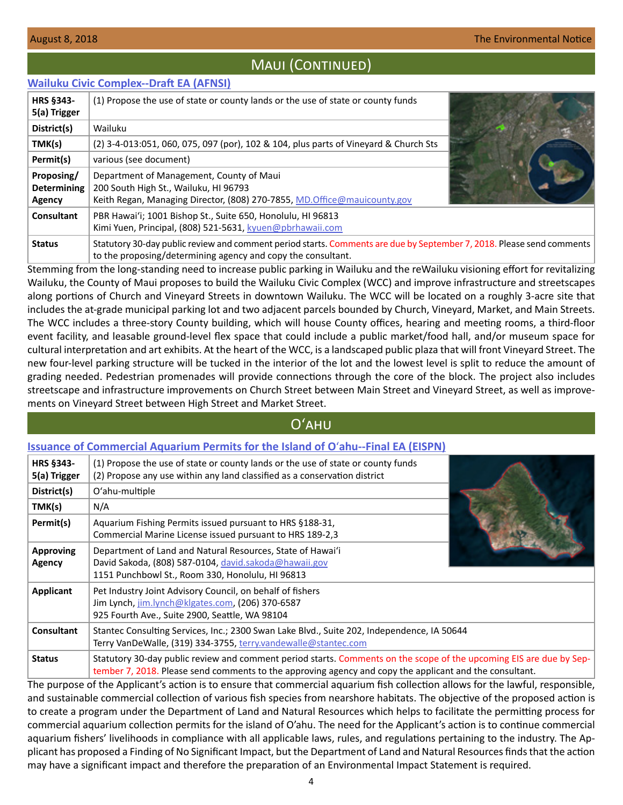## MAUI (CONTINUED)

#### <span id="page-3-0"></span>**[Wailuku Civic Complex--Draft EA \(AFNSI\)](http://oeqc2.doh.hawaii.gov/EA_EIS_Library/2018-08-08-MA-DEA-Wailuku-Civic-Complex.pdf)**

| HRS §343-<br>5(a) Trigger                         | (1) Propose the use of state or county lands or the use of state or county funds                                                                                                      |  |
|---------------------------------------------------|---------------------------------------------------------------------------------------------------------------------------------------------------------------------------------------|--|
| District(s)                                       | Wailuku                                                                                                                                                                               |  |
| TMK(s)                                            | (2) 3-4-013:051, 060, 075, 097 (por), 102 & 104, plus parts of Vineyard & Church Sts                                                                                                  |  |
| Permit(s)                                         | various (see document)                                                                                                                                                                |  |
| Proposing/<br><b>Determining</b><br><b>Agency</b> | Department of Management, County of Maui<br>200 South High St., Wailuku, HI 96793<br>Keith Regan, Managing Director, (808) 270-7855, MD.Office@mauicounty.gov                         |  |
| Consultant                                        | PBR Hawai'i; 1001 Bishop St., Suite 650, Honolulu, HI 96813<br>Kimi Yuen, Principal, (808) 521-5631, kyuen@pbrhawaii.com                                                              |  |
| <b>Status</b>                                     | Statutory 30-day public review and comment period starts. Comments are due by September 7, 2018. Please send comments<br>to the proposing/determining agency and copy the consultant. |  |

Stemming from the long-standing need to increase public parking in Wailuku and the reWailuku visioning effort for revitalizing Wailuku, the County of Maui proposes to build the Wailuku Civic Complex (WCC) and improve infrastructure and streetscapes along portions of Church and Vineyard Streets in downtown Wailuku. The WCC will be located on a roughly 3-acre site that includes the at-grade municipal parking lot and two adjacent parcels bounded by Church, Vineyard, Market, and Main Streets. The WCC includes a three-story County building, which will house County offices, hearing and meeting rooms, a third-floor event facility, and leasable ground-level flex space that could include a public market/food hall, and/or museum space for cultural interpretation and art exhibits. At the heart of the WCC, is a landscaped public plaza that will front Vineyard Street. The new four-level parking structure will be tucked in the interior of the lot and the lowest level is split to reduce the amount of grading needed. Pedestrian promenades will provide connections through the core of the block. The project also includes streetscape and infrastructure improvements on Church Street between Main Street and Vineyard Street, as well as improvements on Vineyard Street between High Street and Market Street.

## Oʻahu

#### **[Issuance of Commercial Aquarium Permits for the Island of O](http://oeqc2.doh.hawaii.gov/EA_EIS_Library/2018-08-08-OA-FEA-EISPN-Oahu-Commercial-Aquarium-Permits.pdf)**ʻ**ahu--Final EA (EISPN)**

| <b>HRS §343-</b><br>5(a) Trigger | (1) Propose the use of state or county lands or the use of state or county funds<br>(2) Propose any use within any land classified as a conservation district                                                                  |  |
|----------------------------------|--------------------------------------------------------------------------------------------------------------------------------------------------------------------------------------------------------------------------------|--|
| District(s)                      | O'ahu-multiple                                                                                                                                                                                                                 |  |
| TMK(s)                           | N/A                                                                                                                                                                                                                            |  |
| Permit(s)                        | Aquarium Fishing Permits issued pursuant to HRS §188-31,<br>Commercial Marine License issued pursuant to HRS 189-2,3                                                                                                           |  |
| <b>Approving</b><br>Agency       | Department of Land and Natural Resources, State of Hawai'i<br>David Sakoda, (808) 587-0104, david.sakoda@hawaii.gov<br>1151 Punchbowl St., Room 330, Honolulu, HI 96813                                                        |  |
| Applicant                        | Pet Industry Joint Advisory Council, on behalf of fishers<br>Jim Lynch, jim.lynch@klgates.com, (206) 370-6587<br>925 Fourth Ave., Suite 2900, Seattle, WA 98104                                                                |  |
| <b>Consultant</b>                | Stantec Consulting Services, Inc.; 2300 Swan Lake Blvd., Suite 202, Independence, IA 50644<br>Terry VanDeWalle, (319) 334-3755, terry.vandewalle@stantec.com                                                                   |  |
| <b>Status</b>                    | Statutory 30-day public review and comment period starts. Comments on the scope of the upcoming EIS are due by Sep-<br>tember 7, 2018. Please send comments to the approving agency and copy the applicant and the consultant. |  |

The purpose of the Applicant's action is to ensure that commercial aquarium fish collection allows for the lawful, responsible, and sustainable commercial collection of various fish species from nearshore habitats. The objective of the proposed action is to create a program under the Department of Land and Natural Resources which helps to facilitate the permitting process for commercial aquarium collection permits for the island of O'ahu. The need for the Applicant's action is to continue commercial aquarium fishers' livelihoods in compliance with all applicable laws, rules, and regulations pertaining to the industry. The Applicant has proposed a Finding of No Significant Impact, but the Department of Land and Natural Resources finds that the action may have a significant impact and therefore the preparation of an Environmental Impact Statement is required.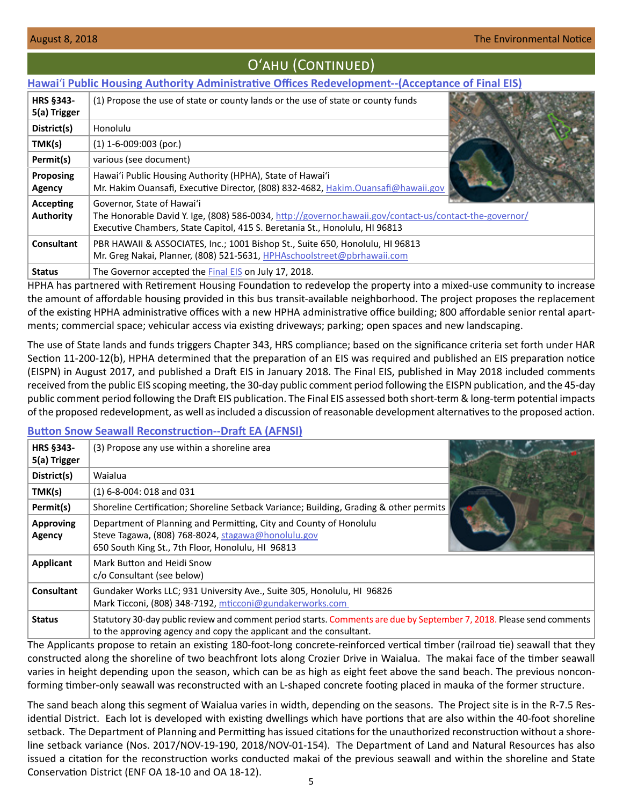**HRS §343- 5(a) Trigger**

## <span id="page-4-0"></span>Oʻahu (Continued) **Hawai**ʻ**[i Public Housing Authority Administrative Offices Redevelopment--\(Acceptance of Final EIS\)](http://oeqc2.doh.hawaii.gov/EA_EIS_Library/2018-08-08-OA-FEIS-Acceptance-HPHA-Administrative-Offices-Redevelopment.pdf)** (1) Propose the use of state or county lands or the use of state or county funds



HPHA has partnered with Retirement Housing Foundation to redevelop the property into a mixed-use community to increase the amount of affordable housing provided in this bus transit-available neighborhood. The project proposes the replacement of the existing HPHA administrative offices with a new HPHA administrative office building; 800 affordable senior rental apartments; commercial space; vehicular access via existing driveways; parking; open spaces and new landscaping.

The use of State lands and funds triggers Chapter 343, HRS compliance; based on the significance criteria set forth under HAR Section 11-200-12(b), HPHA determined that the preparation of an EIS was required and published an EIS preparation notice (EISPN) in August 2017, and published a Draft EIS in January 2018. The Final EIS, published in May 2018 included comments received from the public EIS scoping meeting, the 30-day public comment period following the EISPN publication, and the 45-day public comment period following the Draft EIS publication. The Final EIS assessed both short-term & long-term potential impacts of the proposed redevelopment, as well as included a discussion of reasonable development alternatives to the proposed action.

#### **[Button Snow Seawall Reconstruction--Draft EA \(AFNSI\)](http://oeqc2.doh.hawaii.gov/EA_EIS_Library/2018-08-08-OA-DEA-Button-Snow-seawall-reconstruction.pdf)**

| HRS §343-<br>5(a) Trigger  | (3) Propose any use within a shoreline area                                                                                                                                                 |  |
|----------------------------|---------------------------------------------------------------------------------------------------------------------------------------------------------------------------------------------|--|
| District(s)                | Waialua                                                                                                                                                                                     |  |
| TMK(s)                     | $(1)$ 6-8-004: 018 and 031                                                                                                                                                                  |  |
| Permit(s)                  | Shoreline Certification; Shoreline Setback Variance; Building, Grading & other permits                                                                                                      |  |
| <b>Approving</b><br>Agency | Department of Planning and Permitting, City and County of Honolulu<br>Steve Tagawa, (808) 768-8024, stagawa@honolulu.gov<br>650 South King St., 7th Floor, Honolulu, HI 96813               |  |
| Applicant                  | Mark Button and Heidi Snow<br>c/o Consultant (see below)                                                                                                                                    |  |
| Consultant                 | Gundaker Works LLC; 931 University Ave., Suite 305, Honolulu, HI 96826<br>Mark Ticconi, (808) 348-7192, mticconi@gundakerworks.com                                                          |  |
| <b>Status</b>              | Statutory 30-day public review and comment period starts. Comments are due by September 7, 2018. Please send comments<br>to the approving agency and copy the applicant and the consultant. |  |

The Applicants propose to retain an existing 180-foot-long concrete-reinforced vertical timber (railroad tie) seawall that they constructed along the shoreline of two beachfront lots along Crozier Drive in Waialua. The makai face of the timber seawall varies in height depending upon the season, which can be as high as eight feet above the sand beach. The previous nonconforming timber-only seawall was reconstructed with an L-shaped concrete footing placed in mauka of the former structure.

The sand beach along this segment of Waialua varies in width, depending on the seasons. The Project site is in the R-7.5 Residential District. Each lot is developed with existing dwellings which have portions that are also within the 40-foot shoreline setback. The Department of Planning and Permitting has issued citations for the unauthorized reconstruction without a shoreline setback variance (Nos. 2017/NOV-19-190, 2018/NOV-01-154). The Department of Land and Natural Resources has also issued a citation for the reconstruction works conducted makai of the previous seawall and within the shoreline and State Conservation District (ENF OA 18-10 and OA 18-12).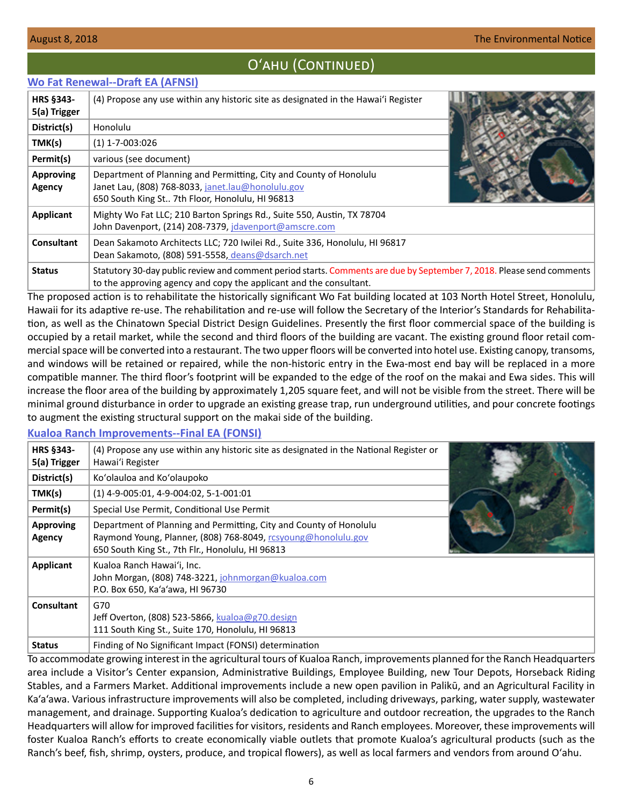## Oʻahu (Continued)

#### <span id="page-5-0"></span>**[Wo Fat Renewal--Draft EA \(AFNSI\)](http://oeqc2.doh.hawaii.gov/EA_EIS_Library/2018-08-08-OA-DEA-Wo-Fat-Renewal.pdf)**

| HRS §343-<br>5(a) Trigger         | (4) Propose any use within any historic site as designated in the Hawai'i Register                                                                                                          |  |
|-----------------------------------|---------------------------------------------------------------------------------------------------------------------------------------------------------------------------------------------|--|
| District(s)                       | Honolulu                                                                                                                                                                                    |  |
| TMK(s)                            | $(1)$ 1-7-003:026                                                                                                                                                                           |  |
| Permit(s)                         | various (see document)                                                                                                                                                                      |  |
| <b>Approving</b><br><b>Agency</b> | Department of Planning and Permitting, City and County of Honolulu<br>Janet Lau, (808) 768-8033, janet.lau@honolulu.gov<br>650 South King St 7th Floor, Honolulu, HI 96813                  |  |
| Applicant                         | Mighty Wo Fat LLC; 210 Barton Springs Rd., Suite 550, Austin, TX 78704<br>John Davenport, (214) 208-7379, jdavenport@amscre.com                                                             |  |
| Consultant                        | Dean Sakamoto Architects LLC; 720 Iwilei Rd., Suite 336, Honolulu, HI 96817<br>Dean Sakamoto, (808) 591-5558, deans@dsarch.net                                                              |  |
| <b>Status</b>                     | Statutory 30-day public review and comment period starts. Comments are due by September 7, 2018. Please send comments<br>to the approving agency and copy the applicant and the consultant. |  |

The proposed action is to rehabilitate the historically significant Wo Fat building located at 103 North Hotel Street, Honolulu, Hawaii for its adaptive re-use. The rehabilitation and re-use will follow the Secretary of the Interior's Standards for Rehabilitation, as well as the Chinatown Special District Design Guidelines. Presently the first floor commercial space of the building is occupied by a retail market, while the second and third floors of the building are vacant. The existing ground floor retail commercial space will be converted into a restaurant. The two upper floors will be converted into hotel use. Existing canopy, transoms, and windows will be retained or repaired, while the non-historic entry in the Ewa-most end bay will be replaced in a more compatible manner. The third floor's footprint will be expanded to the edge of the roof on the makai and Ewa sides. This will increase the floor area of the building by approximately 1,205 square feet, and will not be visible from the street. There will be minimal ground disturbance in order to upgrade an existing grease trap, run underground utilities, and pour concrete footings to augment the existing structural support on the makai side of the building.

#### **[Kualoa Ranch Improvements--Final EA \(FONSI\)](http://oeqc2.doh.hawaii.gov/EA_EIS_Library/2018-08-08-OA-FEA-Kualoa-Ranch-Improvements.pdf)**

| HRS §343-<br>5(a) Trigger         | (4) Propose any use within any historic site as designated in the National Register or<br>Hawai'i Register                                                                              |  |
|-----------------------------------|-----------------------------------------------------------------------------------------------------------------------------------------------------------------------------------------|--|
| District(s)                       | Ko'olauloa and Ko'olaupoko                                                                                                                                                              |  |
| TMK(s)                            | $(1)$ 4-9-005:01, 4-9-004:02, 5-1-001:01                                                                                                                                                |  |
| Permit(s)                         | Special Use Permit, Conditional Use Permit                                                                                                                                              |  |
| <b>Approving</b><br><b>Agency</b> | Department of Planning and Permitting, City and County of Honolulu<br>Raymond Young, Planner, (808) 768-8049, rcsyoung@honolulu.gov<br>650 South King St., 7th Flr., Honolulu, HI 96813 |  |
| <b>Applicant</b>                  | Kualoa Ranch Hawai'i, Inc.<br>John Morgan, (808) 748-3221, johnmorgan@kualoa.com<br>P.O. Box 650, Ka'a'awa, HI 96730                                                                    |  |
| <b>Consultant</b>                 | G70<br>Jeff Overton, (808) 523-5866, kualoa@g70.design<br>111 South King St., Suite 170, Honolulu, HI 96813                                                                             |  |
| <b>Status</b>                     | Finding of No Significant Impact (FONSI) determination                                                                                                                                  |  |

To accommodate growing interest in the agricultural tours of Kualoa Ranch, improvements planned for the Ranch Headquarters area include a Visitor's Center expansion, Administrative Buildings, Employee Building, new Tour Depots, Horseback Riding Stables, and a Farmers Market. Additional improvements include a new open pavilion in Palikū, and an Agricultural Facility in Ka'a'awa. Various infrastructure improvements will also be completed, including driveways, parking, water supply, wastewater management, and drainage. Supporting Kualoa's dedication to agriculture and outdoor recreation, the upgrades to the Ranch Headquarters will allow for improved facilities for visitors, residents and Ranch employees. Moreover, these improvements will foster Kualoa Ranch's efforts to create economically viable outlets that promote Kualoa's agricultural products (such as the Ranch's beef, fish, shrimp, oysters, produce, and tropical flowers), as well as local farmers and vendors from around Oʻahu.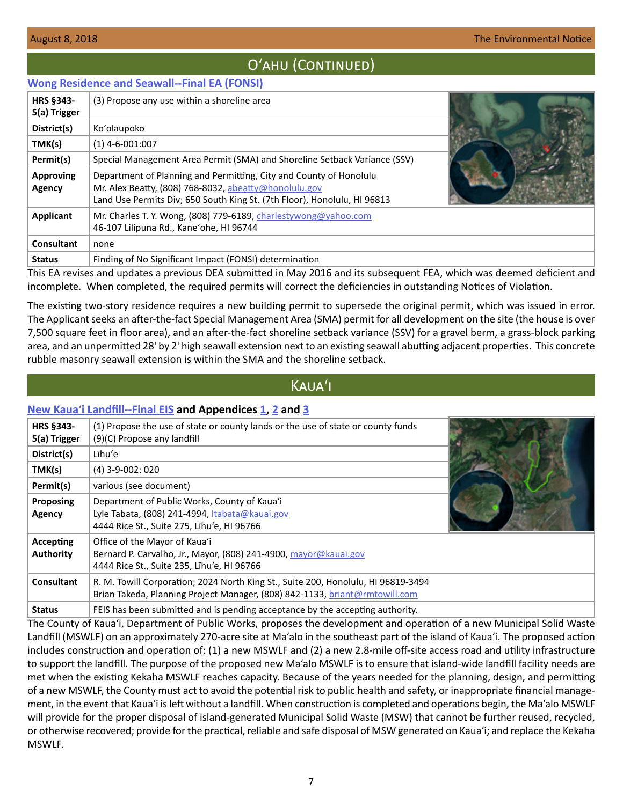## Oʻahu (Continued)

#### <span id="page-6-0"></span>**[Wong Residence and Seawall--Final EA \(FONSI\)](http://oeqc2.doh.hawaii.gov/EA_EIS_Library/2018-08-08-OA-FEA-Wong-Residence-and-Seawall.pdf)**

| <b>HRS §343-</b><br>5(a) Trigger | (3) Propose any use within a shoreline area                                                                                                                                                             |  |
|----------------------------------|---------------------------------------------------------------------------------------------------------------------------------------------------------------------------------------------------------|--|
| District(s)                      | Ko'olaupoko                                                                                                                                                                                             |  |
| TMK(s)                           | $(1)$ 4-6-001:007                                                                                                                                                                                       |  |
| Permit(s)                        | Special Management Area Permit (SMA) and Shoreline Setback Variance (SSV)                                                                                                                               |  |
| <b>Approving</b><br>Agency       | Department of Planning and Permitting, City and County of Honolulu<br>Mr. Alex Beatty, (808) 768-8032, abeatty@honolulu.gov<br>Land Use Permits Div; 650 South King St. (7th Floor), Honolulu, HI 96813 |  |
| Applicant                        | Mr. Charles T. Y. Wong, (808) 779-6189, charlestywong@yahoo.com<br>46-107 Lilipuna Rd., Kane'ohe, HI 96744                                                                                              |  |
| <b>Consultant</b>                | none                                                                                                                                                                                                    |  |
| <b>Status</b>                    | Finding of No Significant Impact (FONSI) determination                                                                                                                                                  |  |

This EA revises and updates a previous DEA submitted in May 2016 and its subsequent FEA, which was deemed deficient and incomplete. When completed, the required permits will correct the deficiencies in outstanding Notices of Violation.

The existing two-story residence requires a new building permit to supersede the original permit, which was issued in error. The Applicant seeks an after-the-fact Special Management Area (SMA) permit for all development on the site (the house is over 7,500 square feet in floor area), and an after-the-fact shoreline setback variance (SSV) for a gravel berm, a grass-block parking area, and an unpermitted 28' by 2' high seawall extension next to an existing seawall abutting adjacent properties. This concrete rubble masonry seawall extension is within the SMA and the shoreline setback.

## Kauaʻi

#### **New Kaua**ʻ**[i Landfill--Final EIS](http://oeqc2.doh.hawaii.gov/EA_EIS_Library/2018-08-08-KA-FEIS-New-Kauai-Landfill.pdf) and Appendices [1,](http://oeqc2.doh.hawaii.gov/EA_EIS_Library/2018-08-08-KA-FEIS-New-Kauai-Landfill-Appendix-1.pdf) [2](http://oeqc2.doh.hawaii.gov/EA_EIS_Library/2018-08-08-KA-FEIS-New-Kauai-Landfill-Appendix-2.pdf) and [3](http://oeqc2.doh.hawaii.gov/EA_EIS_Library/2018-08-08-KA-FEIS-New-Kauai-Landfill-Appendix-3.pdf)**

| <b>HRS §343-</b><br>5(a) Trigger | (1) Propose the use of state or county lands or the use of state or county funds<br>(9)(C) Propose any landfill                                                  |  |
|----------------------------------|------------------------------------------------------------------------------------------------------------------------------------------------------------------|--|
| District(s)                      | Līhu'e                                                                                                                                                           |  |
| TMK(s)                           | $(4)$ 3-9-002: 020                                                                                                                                               |  |
| Permit(s)                        | various (see document)                                                                                                                                           |  |
| <b>Proposing</b><br>Agency       | Department of Public Works, County of Kaua'i<br>Lyle Tabata, (808) 241-4994, Itabata@kauai.gov<br>4444 Rice St., Suite 275, Lihu'e, HI 96766                     |  |
| Accepting<br><b>Authority</b>    | Office of the Mayor of Kaua'i<br>Bernard P. Carvalho, Jr., Mayor, (808) 241-4900, mayor@kauai.gov<br>4444 Rice St., Suite 235, Lihu'e, HI 96766                  |  |
| Consultant                       | R. M. Towill Corporation; 2024 North King St., Suite 200, Honolulu, HI 96819-3494<br>Brian Takeda, Planning Project Manager, (808) 842-1133, briant@rmtowill.com |  |
| <b>Status</b>                    | FEIS has been submitted and is pending acceptance by the accepting authority.                                                                                    |  |

The County of Kaua'i, Department of Public Works, proposes the development and operation of a new Municipal Solid Waste Landfill (MSWLF) on an approximately 270-acre site at Ma'alo in the southeast part of the island of Kaua'i. The proposed action includes construction and operation of: (1) a new MSWLF and (2) a new 2.8-mile off-site access road and utility infrastructure to support the landfill. The purpose of the proposed new Ma'alo MSWLF is to ensure that island-wide landfill facility needs are met when the existing Kekaha MSWLF reaches capacity. Because of the years needed for the planning, design, and permitting of a new MSWLF, the County must act to avoid the potential risk to public health and safety, or inappropriate financial management, in the event that Kaua'i is left without a landfill. When construction is completed and operations begin, the Ma'alo MSWLF will provide for the proper disposal of island-generated Municipal Solid Waste (MSW) that cannot be further reused, recycled, or otherwise recovered; provide for the practical, reliable and safe disposal of MSW generated on Kaua'i; and replace the Kekaha MSWLF.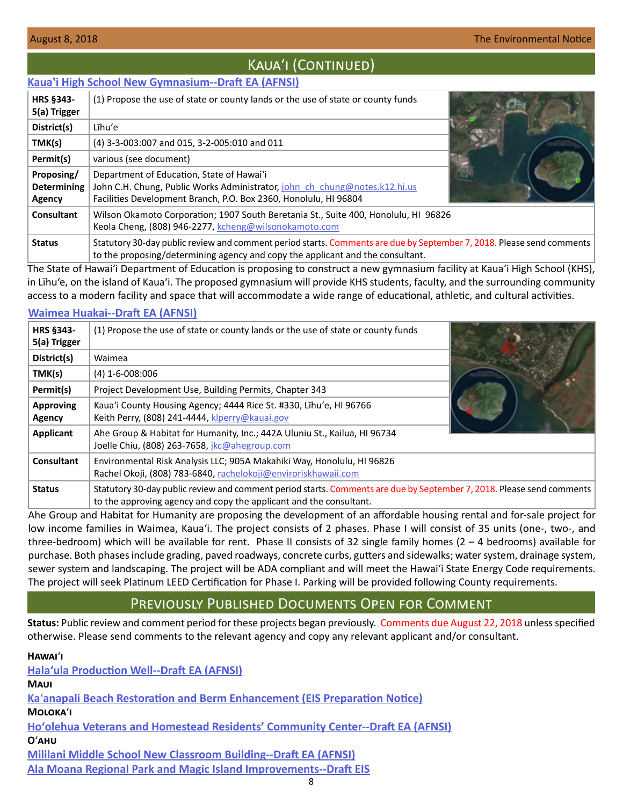## KAUA'I (CONTINUED)

#### <span id="page-7-0"></span>**[Kauaʽi High School New Gymnasium--Draft EA \(AFNSI\)](http://oeqc2.doh.hawaii.gov/EA_EIS_Library/2018-08-08-KA-DEA-Kauai-High-School-New-Gymnasium.pdf)**

| <b>HRS §343-</b><br>5(a) Trigger           | (1) Propose the use of state or county lands or the use of state or county funds                                                                                                                        |  |
|--------------------------------------------|---------------------------------------------------------------------------------------------------------------------------------------------------------------------------------------------------------|--|
| District(s)                                | Līhu'e                                                                                                                                                                                                  |  |
| TMK(s)                                     | (4) 3-3-003:007 and 015, 3-2-005:010 and 011                                                                                                                                                            |  |
| Permit(s)                                  | various (see document)                                                                                                                                                                                  |  |
| Proposing/<br><b>Determining</b><br>Agency | Department of Education, State of Hawai'i<br>John C.H. Chung, Public Works Administrator, john ch chung@notes.k12.hi.us<br>Facilities Development Branch, P.O. Box 2360, Honolulu, HI 96804             |  |
| Consultant                                 | Wilson Okamoto Corporation; 1907 South Beretania St., Suite 400, Honolulu, HI 96826<br>Keola Cheng, (808) 946-2277, kcheng@wilsonokamoto.com                                                            |  |
| <b>Status</b>                              | Statutory 30-day public review and comment period starts. Comments are due by September 7, 2018. Please send comments<br>to the proposing/determining agency and copy the applicant and the consultant. |  |

The State of Hawai'i Department of Education is proposing to construct a new gymnasium facility at Kauaʻi High School (KHS), in Līhu'e, on the island of Kauaʻi. The proposed gymnasium will provide KHS students, faculty, and the surrounding community access to a modern facility and space that will accommodate a wide range of educational, athletic, and cultural activities.

#### **[Waimea Huakai--Draft EA \(AFNSI\)](http://oeqc2.doh.hawaii.gov/EA_EIS_Library/2018-08-08-KA-DEA-Waimea-Huakai.pdf)**

| <b>HRS §343-</b><br>5(a) Trigger | (1) Propose the use of state or county lands or the use of state or county funds                                                                                                            |  |
|----------------------------------|---------------------------------------------------------------------------------------------------------------------------------------------------------------------------------------------|--|
| District(s)                      | Waimea                                                                                                                                                                                      |  |
| TMK(s)                           | $(4)$ 1-6-008:006                                                                                                                                                                           |  |
| Permit(s)                        | Project Development Use, Building Permits, Chapter 343                                                                                                                                      |  |
| <b>Approving</b><br>Agency       | Kaua'i County Housing Agency; 4444 Rice St. #330, Līhu'e, HI 96766<br>Keith Perry, (808) 241-4444, klperry@kauai.gov                                                                        |  |
| Applicant                        | Ahe Group & Habitat for Humanity, Inc.; 442A Uluniu St., Kailua, HI 96734<br>Joelle Chiu, (808) 263-7658, <i>jkc@ahegroup.com</i>                                                           |  |
| Consultant                       | Environmental Risk Analysis LLC; 905A Makahiki Way, Honolulu, HI 96826<br>Rachel Okoji, (808) 783-6840, rachelokoji@enviroriskhawaii.com                                                    |  |
| <b>Status</b>                    | Statutory 30-day public review and comment period starts. Comments are due by September 7, 2018. Please send comments<br>to the approving agency and copy the applicant and the consultant. |  |

Ahe Group and Habitat for Humanity are proposing the development of an affordable housing rental and for-sale project for low income families in Waimea, Kauaʻi. The project consists of 2 phases. Phase I will consist of 35 units (one-, two-, and three-bedroom) which will be available for rent. Phase II consists of 32 single family homes  $(2 - 4$  bedrooms) available for purchase. Both phases include grading, paved roadways, concrete curbs, gutters and sidewalks; water system, drainage system, sewer system and landscaping. The project will be ADA compliant and will meet the Hawaiʻi State Energy Code requirements. The project will seek Platinum LEED Certification for Phase I. Parking will be provided following County requirements.

## Previously Published Documents Open for Comment

**Status:** Public review and comment period for these projects began previously. Comments due August 22, 2018 unless specified otherwise. Please send comments to the relevant agency and copy any relevant applicant and/or consultant.

| HAWAI'I                                                                        |
|--------------------------------------------------------------------------------|
| <b>Hala'ula Production Well--Draft EA (AFNSI)</b>                              |
| Maui                                                                           |
| Ka'anapali Beach Restoration and Berm Enhancement (EIS Preparation Notice)     |
| ΜΟΙΟΚΑ΄Ι                                                                       |
| Ho'olehua Veterans and Homestead Residents' Community Center--Draft EA (AFNSI) |
| Оʻани                                                                          |
| <b>Mililani Middle School New Classroom Building--Draft EA (AFNSI)</b>         |
| Ala Moana Regional Park and Magic Island Improvements--Draft EIS               |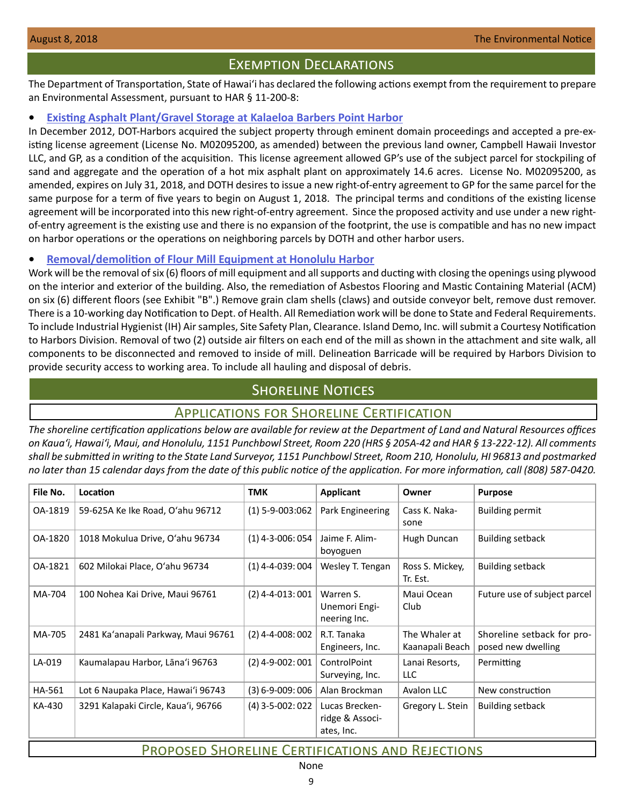## Exemption Declarations

<span id="page-8-0"></span>The Department of Transportation, State of Hawaiʻi has declared the following actions exempt from the requirement to prepare an Environmental Assessment, pursuant to HAR § 11-200-8:

#### **• [Existing Asphalt Plant/Gravel Storage at Kalaeloa Barbers Point Harbor](http://oeqc2.doh.hawaii.gov/Other_TEN_Publications/2018-08-08-OA-Exemption-DOT-Existing-Asphalt-Plant-and-Gravel-Storage.pdf)**

In December 2012, DOT-Harbors acquired the subject property through eminent domain proceedings and accepted a pre-existing license agreement (License No. M02095200, as amended) between the previous land owner, Campbell Hawaii Investor LLC, and GP, as a condition of the acquisition. This license agreement allowed GP's use of the subject parcel for stockpiling of sand and aggregate and the operation of a hot mix asphalt plant on approximately 14.6 acres. License No. M02095200, as amended, expires on July 31, 2018, and DOTH desires to issue a new right-of-entry agreement to GP for the same parcel for the same purpose for a term of five years to begin on August 1, 2018. The principal terms and conditions of the existing license agreement will be incorporated into this new right-of-entry agreement. Since the proposed activity and use under a new rightof-entry agreement is the existing use and there is no expansion of the footprint, the use is compatible and has no new impact on harbor operations or the operations on neighboring parcels by DOTH and other harbor users.

#### **• [Removal/demolition of Flour Mill Equipment at Honolulu Harbor](http://oeqc2.doh.hawaii.gov/Other_TEN_Publications/2018-08-08-OA-Exemption-DOT-Removal-of-Pier-23-Flour-Mills.pdf)**

Work will be the removal of six (6) floors of mill equipment and all supports and ducting with closing the openings using plywood on the interior and exterior of the building. Also, the remediation of Asbestos Flooring and Mastic Containing Material (ACM) on six (6) different floors (see Exhibit "B".) Remove grain clam shells (claws) and outside conveyor belt, remove dust remover. There is a 10-working day Notification to Dept. of Health. All Remediation work will be done to State and Federal Requirements. To include Industrial Hygienist (IH) Air samples, Site Safety Plan, Clearance. Island Demo, Inc. will submit a Courtesy Notification to Harbors Division. Removal of two (2) outside air filters on each end of the mill as shown in the attachment and site walk, all components to be disconnected and removed to inside of mill. Delineation Barricade will be required by Harbors Division to provide security access to working area. To include all hauling and disposal of debris.

## **SHORELINE NOTICES**

## Applications for Shoreline Certification

*The shoreline certification applications below are available for review at the Department of Land and Natural Resources offices on Kauaʻi, Hawaiʻi, Maui, and Honolulu, 1151 Punchbowl Street, Room 220 (HRS § 205A-42 and HAR § 13-222-12). All comments shall be submitted in writing to the State Land Surveyor, 1151 Punchbowl Street, Room 210, Honolulu, HI 96813 and postmarked no later than 15 calendar days from the date of this public notice of the application. For more information, call (808) 587-0420.* 

| File No. | Location                            | <b>TMK</b>            | <b>Applicant</b>                                | Owner                            | <b>Purpose</b>                                   |  |
|----------|-------------------------------------|-----------------------|-------------------------------------------------|----------------------------------|--------------------------------------------------|--|
| OA-1819  | 59-625A Ke Ike Road, O'ahu 96712    | $(1)$ 5-9-003:062     | Park Engineering                                | Cass K. Naka-<br>sone            | <b>Building permit</b>                           |  |
| OA-1820  | 1018 Mokulua Drive, O'ahu 96734     | $(1)$ 4-3-006: 054    | Jaime F. Alim-<br>boyoguen                      | Hugh Duncan                      | <b>Building setback</b>                          |  |
| OA-1821  | 602 Milokai Place, O'ahu 96734      | $(1)$ 4-4-039: 004    | Wesley T. Tengan                                | Ross S. Mickey,<br>Tr. Est.      | <b>Building setback</b>                          |  |
| MA-704   | 100 Nohea Kai Drive, Maui 96761     | $(2)$ 4-4-013:001     | Warren S.<br>Unemori Engi-<br>neering Inc.      | Maui Ocean<br>Club               | Future use of subject parcel                     |  |
| MA-705   | 2481 Ka'anapali Parkway, Maui 96761 | $(2)$ 4-4-008: 002    | R.T. Tanaka<br>Engineers, Inc.                  | The Whaler at<br>Kaanapali Beach | Shoreline setback for pro-<br>posed new dwelling |  |
| LA-019   | Kaumalapau Harbor, Lāna'i 96763     | $(2)$ 4-9-002: 001    | ControlPoint<br>Surveying, Inc.                 | Lanai Resorts,<br>LLC.           | Permitting                                       |  |
| HA-561   | Lot 6 Naupaka Place, Hawai'i 96743  | $(3) 6 - 9 - 009:006$ | Alan Brockman                                   | Avalon LLC                       | New construction                                 |  |
| KA-430   | 3291 Kalapaki Circle, Kaua'i, 96766 | $(4)$ 3-5-002: 022    | Lucas Brecken-<br>ridge & Associ-<br>ates, Inc. | Gregory L. Stein                 | <b>Building setback</b>                          |  |
|          |                                     |                       |                                                 |                                  |                                                  |  |

## Proposed Shoreline Certifications and Rejections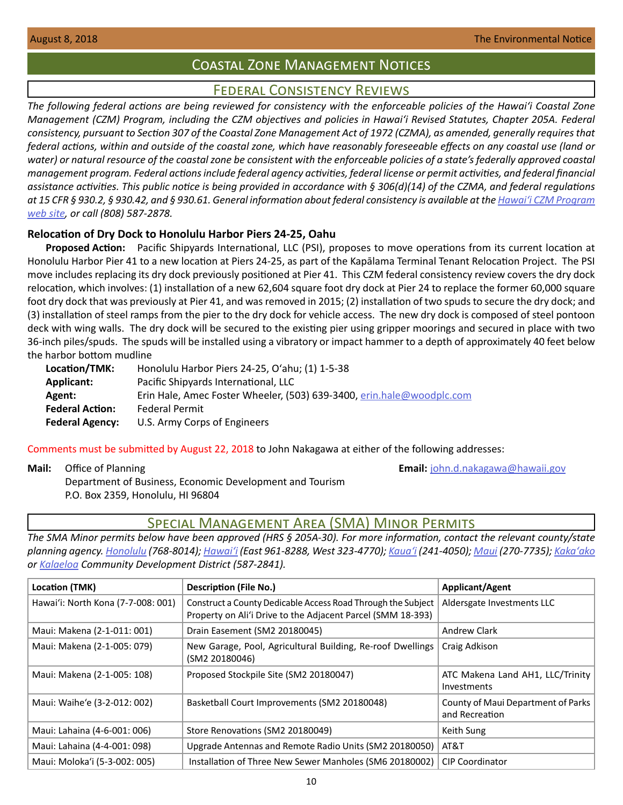## Coastal Zone Management Notices

## Federal Consistency Reviews

<span id="page-9-0"></span>*The following federal actions are being reviewed for consistency with the enforceable policies of the Hawaiʻi Coastal Zone Management (CZM) Program, including the CZM objectives and policies in Hawaiʻi Revised Statutes, Chapter 205A. Federal consistency, pursuant to Section 307 of the Coastal Zone Management Act of 1972 (CZMA), as amended, generally requires that federal actions, within and outside of the coastal zone, which have reasonably foreseeable effects on any coastal use (land or water) or natural resource of the coastal zone be consistent with the enforceable policies of a state's federally approved coastal management program. Federal actions include federal agency activities, federal license or permit activities, and federal financial assistance activities. This public notice is being provided in accordance with § 306(d)(14) of the CZMA, and federal regulations at 15 CFR § 930.2, § 930.42, and § 930.61. General information about federal consistency is available at the [Hawaiʻi CZM Program](http://planning.hawaii.gov/czm/federal-consistency/) [web site,](http://planning.hawaii.gov/czm/federal-consistency/) or call (808) 587-2878.*

#### **Relocation of Dry Dock to Honolulu Harbor Piers 24-25, Oahu**

**Proposed Action:** Pacific Shipyards International, LLC (PSI), proposes to move operations from its current location at Honolulu Harbor Pier 41 to a new location at Piers 24-25, as part of the Kapālama Terminal Tenant Relocation Project. The PSI move includes replacing its dry dock previously positioned at Pier 41. This CZM federal consistency review covers the dry dock relocation, which involves: (1) installation of a new 62,604 square foot dry dock at Pier 24 to replace the former 60,000 square foot dry dock that was previously at Pier 41, and was removed in 2015; (2) installation of two spuds to secure the dry dock; and (3) installation of steel ramps from the pier to the dry dock for vehicle access. The new dry dock is composed of steel pontoon deck with wing walls. The dry dock will be secured to the existing pier using gripper moorings and secured in place with two 36-inch piles/spuds. The spuds will be installed using a vibratory or impact hammer to a depth of approximately 40 feet below the harbor bottom mudline

| Location/TMK:          | Honolulu Harbor Piers 24-25, O'ahu; (1) 1-5-38                        |
|------------------------|-----------------------------------------------------------------------|
| Applicant:             | Pacific Shipyards International, LLC                                  |
| Agent:                 | Erin Hale, Amec Foster Wheeler, (503) 639-3400, erin.hale@woodplc.com |
| <b>Federal Action:</b> | <b>Federal Permit</b>                                                 |
| <b>Federal Agency:</b> | U.S. Army Corps of Engineers                                          |

Comments must be submitted by August 22, 2018 to John Nakagawa at either of the following addresses:

**Mail:** Office of Planning **Email:** john.d.nakagawa@hawaii.gov

Department of Business, Economic Development and Tourism P.O. Box 2359, Honolulu, HI 96804

## Special Management Area (SMA) Minor Permits

*The SMA Minor permits below have been approved (HRS § 205A-30). For more information, contact the relevant county/state planning agency. [Honolulu](http://honoluludpp.org/) (768-8014); [Hawaiʻi](http://www.hiplanningdept.com/) (East 961-8288, West 323-4770); [Kauaʻi](https://www.kauai.gov/Planning) (241-4050); [Maui](https://www.mauicounty.gov/121/Planning-Department) (270-7735); [Kakaʻako](http://dbedt.hawaii.gov/hcda/) or [Kalaeloa](http://dbedt.hawaii.gov/hcda/) Community Development District (587-2841).*

| Location (TMK)                     | Description (File No.)                                                                                                      | <b>Applicant/Agent</b>                               |
|------------------------------------|-----------------------------------------------------------------------------------------------------------------------------|------------------------------------------------------|
| Hawai'i: North Kona (7-7-008: 001) | Construct a County Dedicable Access Road Through the Subject<br>Property on Ali'i Drive to the Adjacent Parcel (SMM 18-393) | Aldersgate Investments LLC                           |
| Maui: Makena (2-1-011: 001)        | Drain Easement (SM2 20180045)                                                                                               | <b>Andrew Clark</b>                                  |
| Maui: Makena (2-1-005: 079)        | New Garage, Pool, Agricultural Building, Re-roof Dwellings<br>(SM2 20180046)                                                | Craig Adkison                                        |
| Maui: Makena (2-1-005: 108)        | Proposed Stockpile Site (SM2 20180047)                                                                                      | ATC Makena Land AH1, LLC/Trinity<br>Investments      |
| Maui: Waihe'e (3-2-012: 002)       | Basketball Court Improvements (SM2 20180048)                                                                                | County of Maui Department of Parks<br>and Recreation |
| Maui: Lahaina (4-6-001: 006)       | Store Renovations (SM2 20180049)                                                                                            | Keith Sung                                           |
| Maui: Lahaina (4-4-001: 098)       | Upgrade Antennas and Remote Radio Units (SM2 20180050)                                                                      | AT&T                                                 |
| Maui: Moloka'i (5-3-002: 005)      | Installation of Three New Sewer Manholes (SM6 20180002)                                                                     | <b>CIP Coordinator</b>                               |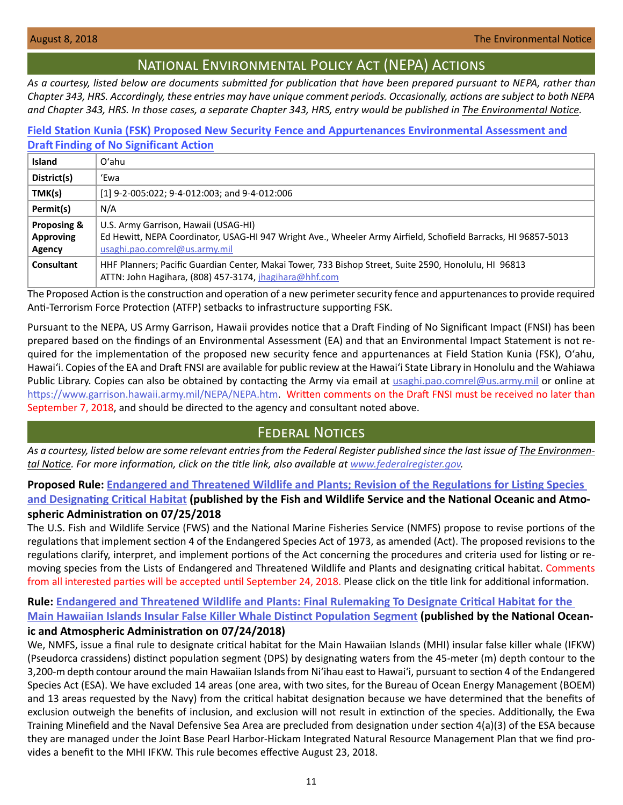## National Environmental Policy Act (NEPA) Actions

<span id="page-10-0"></span>*As a courtesy, listed below are documents submitted for publication that have been prepared pursuant to NEPA, rather than Chapter 343, HRS. Accordingly, these entries may have unique comment periods. Occasionally, actions are subject to both NEPA and Chapter 343, HRS. In those cases, a separate Chapter 343, HRS, entry would be published in The Environmental Notice.*

## **[Field Station Kunia \(FSK\) Proposed New Security Fence and Appurtenances Environmental Assessment and](http://oeqc2.doh.hawaii.gov/Other_TEN_Publications/2018-08-08-OA-NEPA-EA-DFNSI-Field-Station-Kunia-Fencing.pdf)  Draft Finding of No Significant Action**

| <b>Island</b>                             | $O'$ ahu                                                                                                                                                                                |
|-------------------------------------------|-----------------------------------------------------------------------------------------------------------------------------------------------------------------------------------------|
| District(s)                               | 'Ewa                                                                                                                                                                                    |
| TMK(s)                                    | [1] 9-2-005:022; 9-4-012:003; and 9-4-012:006                                                                                                                                           |
| Permit(s)                                 | N/A                                                                                                                                                                                     |
| Proposing &<br><b>Approving</b><br>Agency | U.S. Army Garrison, Hawaii (USAG-HI)<br>Ed Hewitt, NEPA Coordinator, USAG-HI 947 Wright Ave., Wheeler Army Airfield, Schofield Barracks, HI 96857-5013<br>usaghi.pao.comrel@us.army.mil |
| Consultant                                | HHF Planners; Pacific Guardian Center, Makai Tower, 733 Bishop Street, Suite 2590, Honolulu, HI 96813<br>ATTN: John Hagihara, (808) 457-3174, jhagihara@hhf.com                         |

The Proposed Action is the construction and operation of a new perimeter security fence and appurtenances to provide required Anti-Terrorism Force Protection (ATFP) setbacks to infrastructure supporting FSK.

Pursuant to the NEPA, US Army Garrison, Hawaii provides notice that a Draft Finding of No Significant Impact (FNSI) has been prepared based on the findings of an Environmental Assessment (EA) and that an Environmental Impact Statement is not required for the implementation of the proposed new security fence and appurtenances at Field Station Kunia (FSK), Oʻahu, Hawaiʻi. Copies of the EA and Draft FNSI are available for public review at the Hawaiʻi State Library in Honolulu and the Wahiawa Public Library. Copies can also be obtained by contacting the Army via email at [usaghi.pao.comrel@us.army.mil](mailto:usaghi.pao.comrel%40us.army.mil?subject=) or online at <https://www.garrison.hawaii.army.mil/NEPA/NEPA.htm>. Written comments on the Draft FNSI must be received no later than September 7, 2018, and should be directed to the agency and consultant noted above.

## Federal Notices

As a courtesy, listed below are some relevant entries from the Federal Register published since the last issue of **The Environmen***tal Notice. For more information, click on the title link, also available at [www.federalregister.gov.](http://www.federalregister.gov)*

**Proposed Rule: [Endangered and Threatened Wildlife and Plants; Revision of the Regulations for Listing Species](https://www.federalregister.gov/documents/2018/07/25/2018-15810/endangered-and-threatened-wildlife-and-plants-revision-of-the-regulations-for-listing-species-and)  [and Designating Critical Habitat](https://www.federalregister.gov/documents/2018/07/25/2018-15810/endangered-and-threatened-wildlife-and-plants-revision-of-the-regulations-for-listing-species-and) (published by the Fish and Wildlife Service and the National Oceanic and Atmospheric Administration on 07/25/2018**

The U.S. Fish and Wildlife Service (FWS) and the National Marine Fisheries Service (NMFS) propose to revise portions of the regulations that implement section 4 of the Endangered Species Act of 1973, as amended (Act). The proposed revisions to the regulations clarify, interpret, and implement portions of the Act concerning the procedures and criteria used for listing or removing species from the Lists of Endangered and Threatened Wildlife and Plants and designating critical habitat. Comments from all interested parties will be accepted until September 24, 2018. Please click on the title link for additional information.

## **Rule: [Endangered and Threatened Wildlife and Plants: Final Rulemaking To Designate Critical Habitat for the](https://www.federalregister.gov/documents/2018/07/24/2018-15500/endangered-and-threatened-wildlife-and-plants-final-rulemaking-to-designate-critical-habitat-for-the)**

**[Main Hawaiian Islands Insular False Killer Whale Distinct Population Segment](https://www.federalregister.gov/documents/2018/07/24/2018-15500/endangered-and-threatened-wildlife-and-plants-final-rulemaking-to-designate-critical-habitat-for-the) (published by the National Oceanic and Atmospheric Administration on 07/24/2018)**

We, NMFS, issue a final rule to designate critical habitat for the Main Hawaiian Islands (MHI) insular false killer whale (IFKW) (Pseudorca crassidens) distinct population segment (DPS) by designating waters from the 45-meter (m) depth contour to the 3,200-m depth contour around the main Hawaiian Islands from Niʻihau east to Hawaiʻi, pursuant to section 4 of the Endangered Species Act (ESA). We have excluded 14 areas (one area, with two sites, for the Bureau of Ocean Energy Management (BOEM) and 13 areas requested by the Navy) from the critical habitat designation because we have determined that the benefits of exclusion outweigh the benefits of inclusion, and exclusion will not result in extinction of the species. Additionally, the Ewa Training Minefield and the Naval Defensive Sea Area are precluded from designation under section 4(a)(3) of the ESA because they are managed under the Joint Base Pearl Harbor-Hickam Integrated Natural Resource Management Plan that we find provides a benefit to the MHI IFKW. This rule becomes effective August 23, 2018.